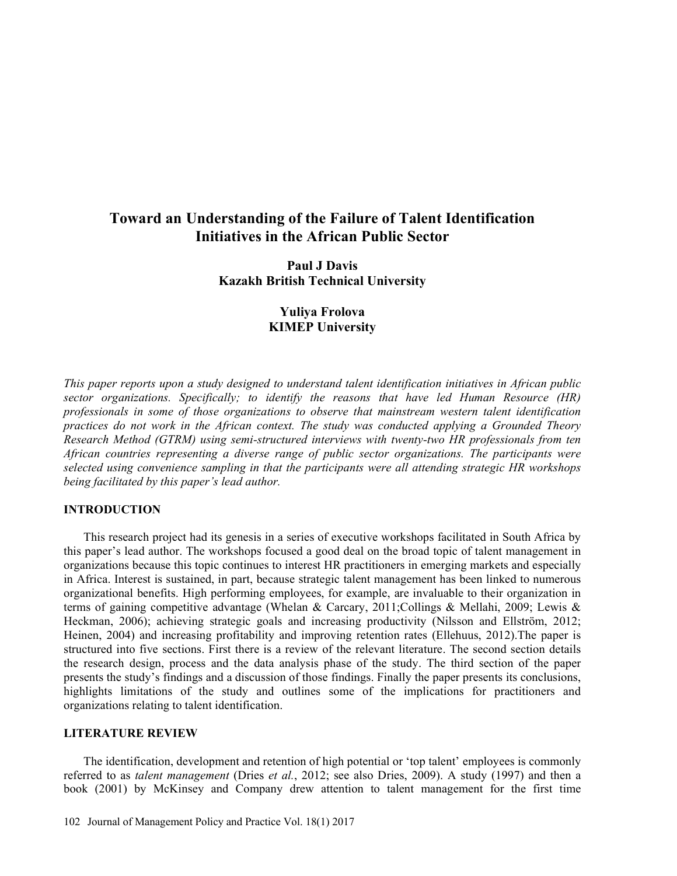# Toward an Understanding of the Failure of Talent Identification Initiatives in the African Public Sector

Paul J Davis Kazakh British Technical University

# Yuliya Frolova KIMEP University

This paper reports upon a study designed to understand talent identification initiatives in African public sector organizations. Specifically; to identify the reasons that have led Human Resource (HR) professionals in some of those organizations to observe that mainstream western talent identification practices do not work in the African context. The study was conducted applying a Grounded Theory Research Method (GTRM) using semi-structured interviews with twenty-two HR professionals from ten African countries representing a diverse range of public sector organizations. The participants were selected using convenience sampling in that the participants were all attending strategic HR workshops being facilitated by this paper's lead author.

#### INTRODUCTION

This research project had its genesis in a series of executive workshops facilitated in South Africa by this paper's lead author. The workshops focused a good deal on the broad topic of talent management in organizations because this topic continues to interest HR practitioners in emerging markets and especially in Africa. Interest is sustained, in part, because strategic talent management has been linked to numerous organizational benefits. High performing employees, for example, are invaluable to their organization in terms of gaining competitive advantage (Whelan & Carcary, 2011;Collings & Mellahi, 2009; Lewis & Heckman, 2006); achieving strategic goals and increasing productivity (Nilsson and Ellström, 2012; Heinen, 2004) and increasing profitability and improving retention rates (Ellehuus, 2012).The paper is structured into five sections. First there is a review of the relevant literature. The second section details the research design, process and the data analysis phase of the study. The third section of the paper presents the study's findings and a discussion of those findings. Finally the paper presents its conclusions, highlights limitations of the study and outlines some of the implications for practitioners and organizations relating to talent identification.

#### LITERATURE REVIEW

The identification, development and retention of high potential or 'top talent' employees is commonly referred to as *talent management* (Dries *et al.*, 2012; see also Dries, 2009). A study (1997) and then a book (2001) by McKinsey and Company drew attention to talent management for the first time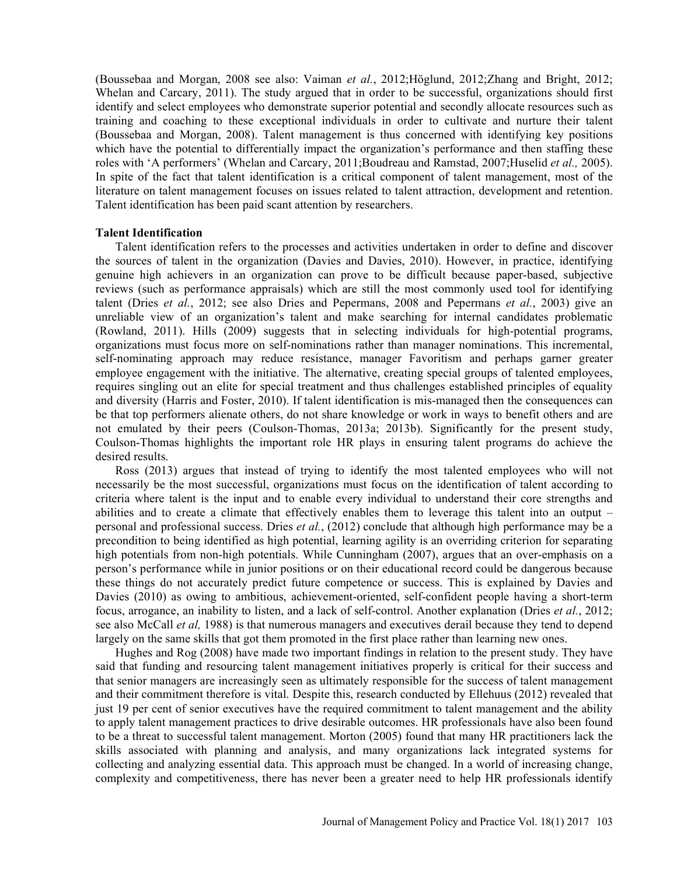(Boussebaa and Morgan, 2008 see also: Vaiman et al., 2012; Höglund, 2012; Zhang and Bright, 2012; Whelan and Carcary, 2011). The study argued that in order to be successful, organizations should first identify and select employees who demonstrate superior potential and secondly allocate resources such as training and coaching to these exceptional individuals in order to cultivate and nurture their talent (Boussebaa and Morgan, 2008). Talent management is thus concerned with identifying key positions which have the potential to differentially impact the organization's performance and then staffing these roles with 'A performers' (Whelan and Carcary, 2011;Boudreau and Ramstad, 2007;Huselid et al., 2005). In spite of the fact that talent identification is a critical component of talent management, most of the literature on talent management focuses on issues related to talent attraction, development and retention. Talent identification has been paid scant attention by researchers.

#### Talent Identification

Talent identification refers to the processes and activities undertaken in order to define and discover the sources of talent in the organization (Davies and Davies, 2010). However, in practice, identifying genuine high achievers in an organization can prove to be difficult because paper-based, subjective reviews (such as performance appraisals) which are still the most commonly used tool for identifying talent (Dries et al., 2012; see also Dries and Pepermans, 2008 and Pepermans et al., 2003) give an unreliable view of an organization's talent and make searching for internal candidates problematic (Rowland, 2011). Hills (2009) suggests that in selecting individuals for high-potential programs, organizations must focus more on self-nominations rather than manager nominations. This incremental, self-nominating approach may reduce resistance, manager Favoritism and perhaps garner greater employee engagement with the initiative. The alternative, creating special groups of talented employees, requires singling out an elite for special treatment and thus challenges established principles of equality and diversity (Harris and Foster, 2010). If talent identification is mis-managed then the consequences can be that top performers alienate others, do not share knowledge or work in ways to benefit others and are not emulated by their peers (Coulson-Thomas, 2013a; 2013b). Significantly for the present study, Coulson-Thomas highlights the important role HR plays in ensuring talent programs do achieve the desired results.

Ross (2013) argues that instead of trying to identify the most talented employees who will not necessarily be the most successful, organizations must focus on the identification of talent according to criteria where talent is the input and to enable every individual to understand their core strengths and abilities and to create a climate that effectively enables them to leverage this talent into an output personal and professional success. Dries et al., (2012) conclude that although high performance may be a precondition to being identified as high potential, learning agility is an overriding criterion for separating high potentials from non-high potentials. While Cunningham (2007), argues that an over-emphasis on a person's performance while in junior positions or on their educational record could be dangerous because these things do not accurately predict future competence or success. This is explained by Davies and Davies (2010) as owing to ambitious, achievement-oriented, self-confident people having a short-term focus, arrogance, an inability to listen, and a lack of self-control. Another explanation (Dries et al., 2012; see also McCall *et al*, 1988) is that numerous managers and executives derail because they tend to depend largely on the same skills that got them promoted in the first place rather than learning new ones.

Hughes and Rog (2008) have made two important findings in relation to the present study. They have said that funding and resourcing talent management initiatives properly is critical for their success and that senior managers are increasingly seen as ultimately responsible for the success of talent management and their commitment therefore is vital. Despite this, research conducted by Ellehuus (2012) revealed that just 19 per cent of senior executives have the required commitment to talent management and the ability to apply talent management practices to drive desirable outcomes. HR professionals have also been found to be a threat to successful talent management. Morton (2005) found that many HR practitioners lack the skills associated with planning and analysis, and many organizations lack integrated systems for collecting and analyzing essential data. This approach must be changed. In a world of increasing change, complexity and competitiveness, there has never been a greater need to help HR professionals identify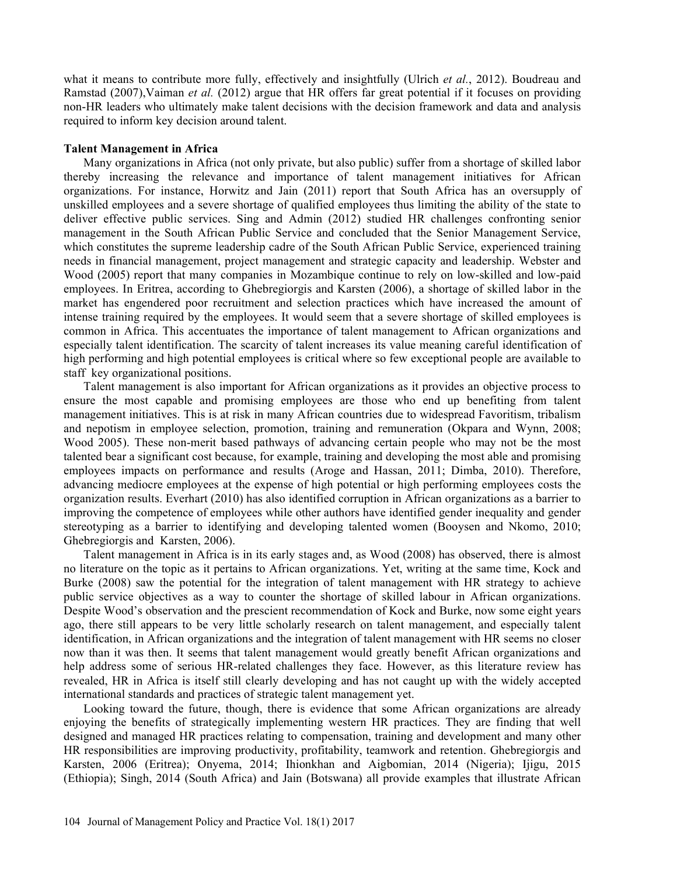what it means to contribute more fully, effectively and insightfully (Ulrich et al., 2012). Boudreau and Ramstad (2007),Vaiman et al. (2012) argue that HR offers far great potential if it focuses on providing non-HR leaders who ultimately make talent decisions with the decision framework and data and analysis required to inform key decision around talent.

#### Talent Management in Africa

Many organizations in Africa (not only private, but also public) suffer from a shortage of skilled labor thereby increasing the relevance and importance of talent management initiatives for African organizations. For instance, Horwitz and Jain (2011) report that South Africa has an oversupply of unskilled employees and a severe shortage of qualified employees thus limiting the ability of the state to deliver effective public services. Sing and Admin (2012) studied HR challenges confronting senior management in the South African Public Service and concluded that the Senior Management Service, which constitutes the supreme leadership cadre of the South African Public Service, experienced training needs in financial management, project management and strategic capacity and leadership. Webster and Wood (2005) report that many companies in Mozambique continue to rely on low-skilled and low-paid employees. In Eritrea, according to Ghebregiorgis and Karsten (2006), a shortage of skilled labor in the market has engendered poor recruitment and selection practices which have increased the amount of intense training required by the employees. It would seem that a severe shortage of skilled employees is common in Africa. This accentuates the importance of talent management to African organizations and especially talent identification. The scarcity of talent increases its value meaning careful identification of high performing and high potential employees is critical where so few exceptional people are available to staff key organizational positions.

Talent management is also important for African organizations as it provides an objective process to ensure the most capable and promising employees are those who end up benefiting from talent management initiatives. This is at risk in many African countries due to widespread Favoritism, tribalism and nepotism in employee selection, promotion, training and remuneration (Okpara and Wynn, 2008; Wood 2005). These non-merit based pathways of advancing certain people who may not be the most talented bear a significant cost because, for example, training and developing the most able and promising employees impacts on performance and results (Aroge and Hassan, 2011; Dimba, 2010). Therefore, advancing mediocre employees at the expense of high potential or high performing employees costs the organization results. Everhart (2010) has also identified corruption in African organizations as a barrier to improving the competence of employees while other authors have identified gender inequality and gender stereotyping as a barrier to identifying and developing talented women (Booysen and Nkomo, 2010; Ghebregiorgis and Karsten, 2006).

Talent management in Africa is in its early stages and, as Wood (2008) has observed, there is almost no literature on the topic as it pertains to African organizations. Yet, writing at the same time, Kock and Burke (2008) saw the potential for the integration of talent management with HR strategy to achieve public service objectives as a way to counter the shortage of skilled labour in African organizations. Despite Wood's observation and the prescient recommendation of Kock and Burke, now some eight years ago, there still appears to be very little scholarly research on talent management, and especially talent identification, in African organizations and the integration of talent management with HR seems no closer now than it was then. It seems that talent management would greatly benefit African organizations and help address some of serious HR-related challenges they face. However, as this literature review has revealed, HR in Africa is itself still clearly developing and has not caught up with the widely accepted international standards and practices of strategic talent management yet.

Looking toward the future, though, there is evidence that some African organizations are already enjoying the benefits of strategically implementing western HR practices. They are finding that well designed and managed HR practices relating to compensation, training and development and many other HR responsibilities are improving productivity, profitability, teamwork and retention. Ghebregiorgis and Karsten, 2006 (Eritrea); Onyema, 2014; Ihionkhan and Aigbomian, 2014 (Nigeria); Ijigu, 2015 (Ethiopia); Singh, 2014 (South Africa) and Jain (Botswana) all provide examples that illustrate African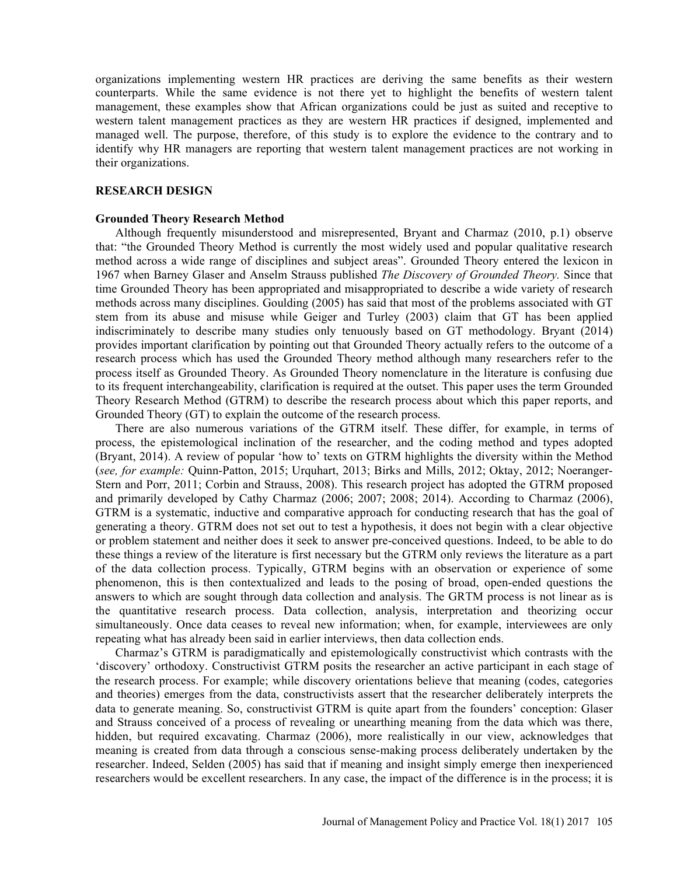organizations implementing western HR practices are deriving the same benefits as their western counterparts. While the same evidence is not there yet to highlight the benefits of western talent management, these examples show that African organizations could be just as suited and receptive to western talent management practices as they are western HR practices if designed, implemented and managed well. The purpose, therefore, of this study is to explore the evidence to the contrary and to identify why HR managers are reporting that western talent management practices are not working in their organizations.

## RESEARCH DESIGN

#### Grounded Theory Research Method

Although frequently misunderstood and misrepresented, Bryant and Charmaz (2010, p.1) observe that: the Grounded Theory Method is currently the most widely used and popular qualitative research method across a wide range of disciplines and subject areas". Grounded Theory entered the lexicon in 1967 when Barney Glaser and Anselm Strauss published *The Discovery of Grounded Theory*. Since that time Grounded Theory has been appropriated and misappropriated to describe a wide variety of research methods across many disciplines. Goulding (2005) has said that most of the problems associated with GT stem from its abuse and misuse while Geiger and Turley (2003) claim that GT has been applied indiscriminately to describe many studies only tenuously based on GT methodology. Bryant (2014) provides important clarification by pointing out that Grounded Theory actually refers to the outcome of a research process which has used the Grounded Theory method although many researchers refer to the process itself as Grounded Theory. As Grounded Theory nomenclature in the literature is confusing due to its frequent interchangeability, clarification is required at the outset. This paper uses the term Grounded Theory Research Method (GTRM) to describe the research process about which this paper reports, and Grounded Theory (GT) to explain the outcome of the research process.

There are also numerous variations of the GTRM itself. These differ, for example, in terms of process, the epistemological inclination of the researcher, and the coding method and types adopted (Bryant, 2014). A review of popular 'how to' texts on GTRM highlights the diversity within the Method (see, for example: Quinn-Patton, 2015; Urquhart, 2013; Birks and Mills, 2012; Oktay, 2012; Noeranger-Stern and Porr, 2011; Corbin and Strauss, 2008). This research project has adopted the GTRM proposed and primarily developed by Cathy Charmaz (2006; 2007; 2008; 2014). According to Charmaz (2006), GTRM is a systematic, inductive and comparative approach for conducting research that has the goal of generating a theory. GTRM does not set out to test a hypothesis, it does not begin with a clear objective or problem statement and neither does it seek to answer pre-conceived questions. Indeed, to be able to do these things a review of the literature is first necessary but the GTRM only reviews the literature as a part of the data collection process. Typically, GTRM begins with an observation or experience of some phenomenon, this is then contextualized and leads to the posing of broad, open-ended questions the answers to which are sought through data collection and analysis. The GRTM process is not linear as is the quantitative research process. Data collection, analysis, interpretation and theorizing occur simultaneously. Once data ceases to reveal new information; when, for example, interviewees are only repeating what has already been said in earlier interviews, then data collection ends.

Charmaz's GTRM is paradigmatically and epistemologically constructivist which contrasts with the discovery orthodoxy. Constructivist GTRM posits the researcher an active participant in each stage of the research process. For example; while discovery orientations believe that meaning (codes, categories and theories) emerges from the data, constructivists assert that the researcher deliberately interprets the data to generate meaning. So, constructivist GTRM is quite apart from the founders' conception: Glaser and Strauss conceived of a process of revealing or unearthing meaning from the data which was there, hidden, but required excavating. Charmaz (2006), more realistically in our view, acknowledges that meaning is created from data through a conscious sense-making process deliberately undertaken by the researcher. Indeed, Selden (2005) has said that if meaning and insight simply emerge then inexperienced researchers would be excellent researchers. In any case, the impact of the difference is in the process; it is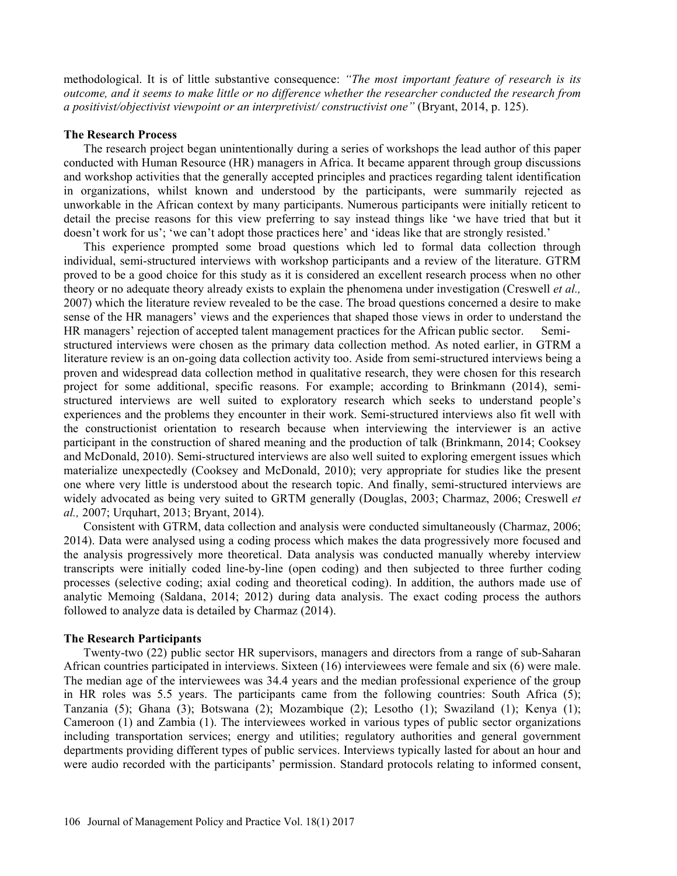methodological. It is of little substantive consequence: "The most important feature of research is its outcome, and it seems to make little or no difference whether the researcher conducted the research from a positivist/objectivist viewpoint or an interpretivist/ constructivist one" (Bryant, 2014, p. 125).

#### The Research Process

The research project began unintentionally during a series of workshops the lead author of this paper conducted with Human Resource (HR) managers in Africa. It became apparent through group discussions and workshop activities that the generally accepted principles and practices regarding talent identification in organizations, whilst known and understood by the participants, were summarily rejected as unworkable in the African context by many participants. Numerous participants were initially reticent to detail the precise reasons for this view preferring to say instead things like 'we have tried that but it doesn't work for us'; 'we can't adopt those practices here' and 'ideas like that are strongly resisted.'

This experience prompted some broad questions which led to formal data collection through individual, semi-structured interviews with workshop participants and a review of the literature. GTRM proved to be a good choice for this study as it is considered an excellent research process when no other theory or no adequate theory already exists to explain the phenomena under investigation (Creswell *et al.*, 2007) which the literature review revealed to be the case. The broad questions concerned a desire to make sense of the HR managers' views and the experiences that shaped those views in order to understand the HR managers' rejection of accepted talent management practices for the African public sector. Semistructured interviews were chosen as the primary data collection method. As noted earlier, in GTRM a literature review is an on-going data collection activity too. Aside from semi-structured interviews being a proven and widespread data collection method in qualitative research, they were chosen for this research project for some additional, specific reasons. For example; according to Brinkmann (2014), semistructured interviews are well suited to exploratory research which seeks to understand people's experiences and the problems they encounter in their work. Semi-structured interviews also fit well with the constructionist orientation to research because when interviewing the interviewer is an active participant in the construction of shared meaning and the production of talk (Brinkmann, 2014; Cooksey and McDonald, 2010). Semi-structured interviews are also well suited to exploring emergent issues which materialize unexpectedly (Cooksey and McDonald, 2010); very appropriate for studies like the present one where very little is understood about the research topic. And finally, semi-structured interviews are widely advocated as being very suited to GRTM generally (Douglas, 2003; Charmaz, 2006; Creswell et al., 2007; Urquhart, 2013; Bryant, 2014).

Consistent with GTRM, data collection and analysis were conducted simultaneously (Charmaz, 2006; 2014). Data were analysed using a coding process which makes the data progressively more focused and the analysis progressively more theoretical. Data analysis was conducted manually whereby interview transcripts were initially coded line-by-line (open coding) and then subjected to three further coding processes (selective coding; axial coding and theoretical coding). In addition, the authors made use of analytic Memoing (Saldana, 2014; 2012) during data analysis. The exact coding process the authors followed to analyze data is detailed by Charmaz (2014).

## The Research Participants

Twenty-two (22) public sector HR supervisors, managers and directors from a range of sub-Saharan African countries participated in interviews. Sixteen (16) interviewees were female and six (6) were male. The median age of the interviewees was 34.4 years and the median professional experience of the group in HR roles was 5.5 years. The participants came from the following countries: South Africa (5); Tanzania (5); Ghana (3); Botswana (2); Mozambique (2); Lesotho (1); Swaziland (1); Kenya (1); Cameroon (1) and Zambia (1). The interviewees worked in various types of public sector organizations including transportation services; energy and utilities; regulatory authorities and general government departments providing different types of public services. Interviews typically lasted for about an hour and were audio recorded with the participants' permission. Standard protocols relating to informed consent,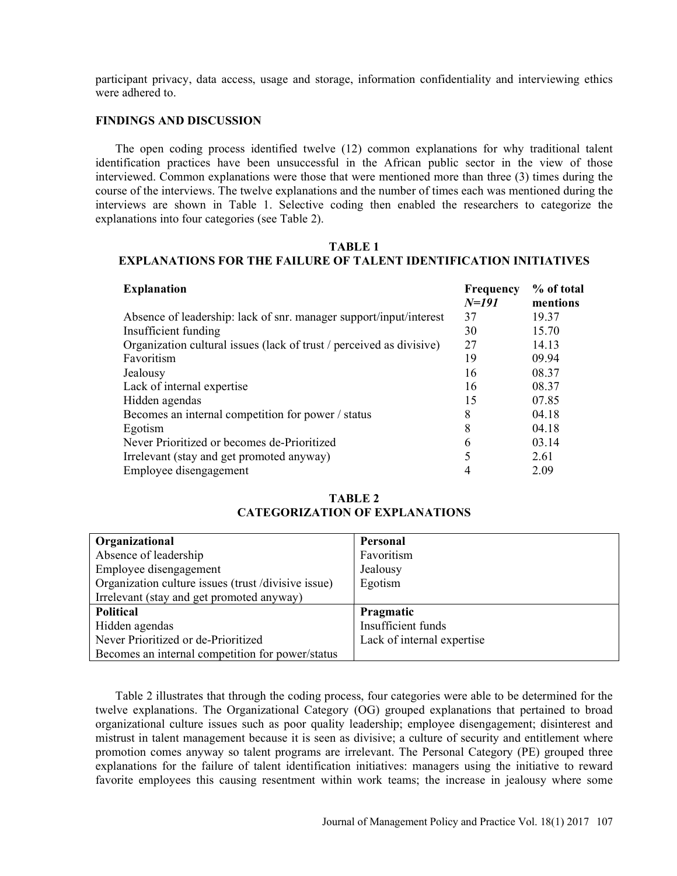participant privacy, data access, usage and storage, information confidentiality and interviewing ethics were adhered to.

#### FINDINGS AND DISCUSSION

The open coding process identified twelve (12) common explanations for why traditional talent identification practices have been unsuccessful in the African public sector in the view of those interviewed. Common explanations were those that were mentioned more than three (3) times during the course of the interviews. The twelve explanations and the number of times each was mentioned during the interviews are shown in Table 1. Selective coding then enabled the researchers to categorize the explanations into four categories (see Table 2).

### TABLE 1 EXPLANATIONS FOR THE FAILURE OF TALENT IDENTIFICATION INITIATIVES

| <b>Explanation</b>                                                   | Frequency | % of total |
|----------------------------------------------------------------------|-----------|------------|
|                                                                      | $N=191$   | mentions   |
| Absence of leadership: lack of snr. manager support/input/interest   | 37        | 19.37      |
| Insufficient funding                                                 | 30        | 15.70      |
| Organization cultural issues (lack of trust / perceived as divisive) | 27        | 14.13      |
| Favoritism                                                           | 19        | 09.94      |
| Jealousy                                                             | 16        | 08.37      |
| Lack of internal expertise                                           | 16        | 08.37      |
| Hidden agendas                                                       | 15        | 07.85      |
| Becomes an internal competition for power / status                   | 8         | 04.18      |
| Egotism                                                              | 8         | 04.18      |
| Never Prioritized or becomes de-Prioritized                          | 6         | 03.14      |
| Irrelevant (stay and get promoted anyway)                            |           | 2.61       |
| Employee disengagement                                               | 4         | 2.09       |

## TABLE 2 CATEGORIZATION OF EXPLANATIONS

| Organizational                                      | Personal                   |
|-----------------------------------------------------|----------------------------|
| Absence of leadership                               | Favoritism                 |
| Employee disengagement                              | Jealousy                   |
| Organization culture issues (trust /divisive issue) | Egotism                    |
| Irrelevant (stay and get promoted anyway)           |                            |
| Political                                           | Pragmatic                  |
| Hidden agendas                                      | Insufficient funds         |
| Never Prioritized or de-Prioritized                 | Lack of internal expertise |
| Becomes an internal competition for power/status    |                            |

Table 2 illustrates that through the coding process, four categories were able to be determined for the twelve explanations. The Organizational Category (OG) grouped explanations that pertained to broad organizational culture issues such as poor quality leadership; employee disengagement; disinterest and mistrust in talent management because it is seen as divisive; a culture of security and entitlement where promotion comes anyway so talent programs are irrelevant. The Personal Category (PE) grouped three explanations for the failure of talent identification initiatives: managers using the initiative to reward favorite employees this causing resentment within work teams; the increase in jealousy where some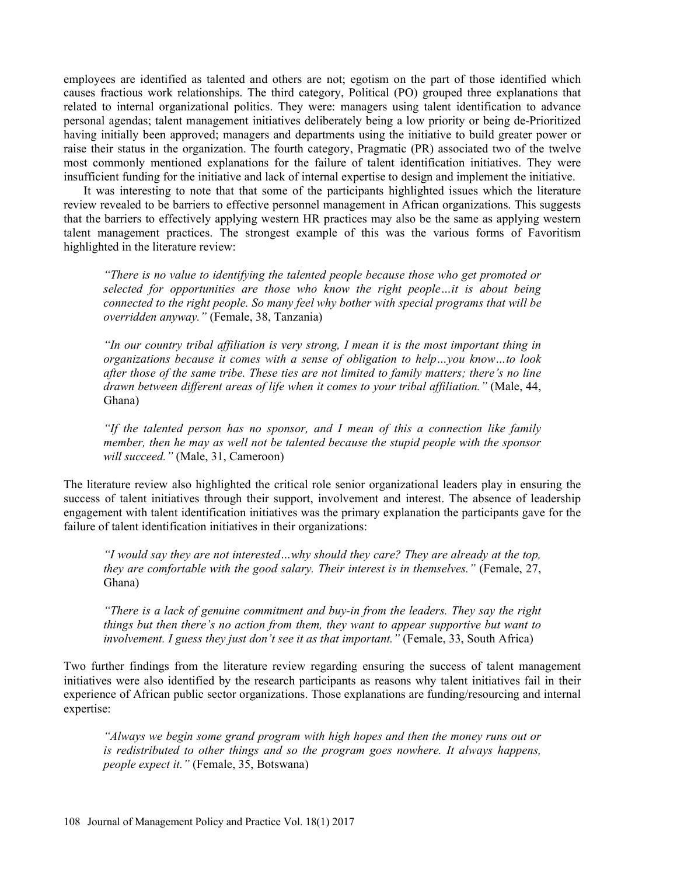employees are identified as talented and others are not; egotism on the part of those identified which causes fractious work relationships. The third category, Political (PO) grouped three explanations that related to internal organizational politics. They were: managers using talent identification to advance personal agendas; talent management initiatives deliberately being a low priority or being de-Prioritized having initially been approved; managers and departments using the initiative to build greater power or raise their status in the organization. The fourth category, Pragmatic (PR) associated two of the twelve most commonly mentioned explanations for the failure of talent identification initiatives. They were insufficient funding for the initiative and lack of internal expertise to design and implement the initiative.

It was interesting to note that that some of the participants highlighted issues which the literature review revealed to be barriers to effective personnel management in African organizations. This suggests that the barriers to effectively applying western HR practices may also be the same as applying western talent management practices. The strongest example of this was the various forms of Favoritism highlighted in the literature review:

There is no value to identifying the talented people because those who get promoted or selected for opportunities are those who know the right people...it is about being connected to the right people. So many feel why bother with special programs that will be overridden anyway. (Female, 38, Tanzania)

 $\lq$  in our country tribal affiliation is very strong, I mean it is the most important thing in organizations because it comes with a sense of obligation to help $\dots$ vou know $\dots$ to look after those of the same tribe. These ties are not limited to family matters; there's no line drawn between different areas of life when it comes to your tribal affiliation." (Male,  $44$ , Ghana)

"If the talented person has no sponsor, and I mean of this a connection like family member, then he may as well not be talented because the stupid people with the sponsor will succeed." (Male, 31, Cameroon)

The literature review also highlighted the critical role senior organizational leaders play in ensuring the success of talent initiatives through their support, involvement and interest. The absence of leadership engagement with talent identification initiatives was the primary explanation the participants gave for the failure of talent identification initiatives in their organizations:

"I would say they are not interested... why should they care? They are already at the top, they are comfortable with the good salary. Their interest is in themselves." (Female,  $27$ , Ghana)

There is a lack of genuine commitment and buy-in from the leaders. They say the right things but then there's no action from them, they want to appear supportive but want to involvement. I guess they just don't see it as that important." (Female, 33, South Africa)

Two further findings from the literature review regarding ensuring the success of talent management initiatives were also identified by the research participants as reasons why talent initiatives fail in their experience of African public sector organizations. Those explanations are funding/resourcing and internal expertise:

Always we begin some grand program with high hopes and then the money runs out or is redistributed to other things and so the program goes nowhere. It always happens, people expect it." (Female, 35, Botswana)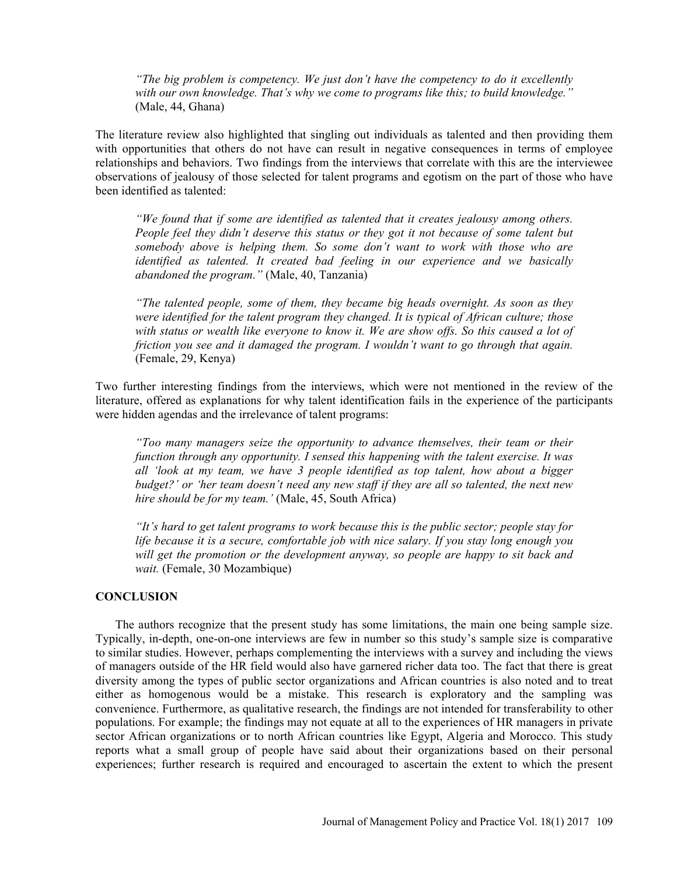"The big problem is competency. We just don't have the competency to do it excellently with our own knowledge. That's why we come to programs like this; to build knowledge." (Male, 44, Ghana)

The literature review also highlighted that singling out individuals as talented and then providing them with opportunities that others do not have can result in negative consequences in terms of employee relationships and behaviors. Two findings from the interviews that correlate with this are the interviewee observations of jealousy of those selected for talent programs and egotism on the part of those who have been identified as talented:

We found that if some are identified as talented that it creates jealousy among others. People feel they didn't deserve this status or they got it not because of some talent but somebody above is helping them. So some don't want to work with those who are identified as talented. It created bad feeling in our experience and we basically abandoned the program."  $(Male, 40, Tanzania)$ 

The talented people, some of them, they became big heads overnight. As soon as they were identified for the talent program they changed. It is typical of African culture; those with status or wealth like everyone to know it. We are show offs. So this caused a lot of friction you see and it damaged the program. I wouldn't want to go through that again. (Female, 29, Kenya)

Two further interesting findings from the interviews, which were not mentioned in the review of the literature, offered as explanations for why talent identification fails in the experience of the participants were hidden agendas and the irrelevance of talent programs:

Too many managers seize the opportunity to advance themselves, their team or their function through any opportunity. I sensed this happening with the talent exercise. It was all 'look at my team, we have 3 people identified as top talent, how about a bigger budget?' or 'her team doesn't need any new staff if they are all so talented, the next new hire should be for my team.' (Male, 45, South Africa)

"It's hard to get talent programs to work because this is the public sector; people stay for life because it is a secure, comfortable job with nice salary. If you stay long enough you will get the promotion or the development anyway, so people are happy to sit back and wait. (Female, 30 Mozambique)

## **CONCLUSION**

The authors recognize that the present study has some limitations, the main one being sample size. Typically, in-depth, one-on-one interviews are few in number so this study's sample size is comparative to similar studies. However, perhaps complementing the interviews with a survey and including the views of managers outside of the HR field would also have garnered richer data too. The fact that there is great diversity among the types of public sector organizations and African countries is also noted and to treat either as homogenous would be a mistake. This research is exploratory and the sampling was convenience. Furthermore, as qualitative research, the findings are not intended for transferability to other populations. For example; the findings may not equate at all to the experiences of HR managers in private sector African organizations or to north African countries like Egypt, Algeria and Morocco. This study reports what a small group of people have said about their organizations based on their personal experiences; further research is required and encouraged to ascertain the extent to which the present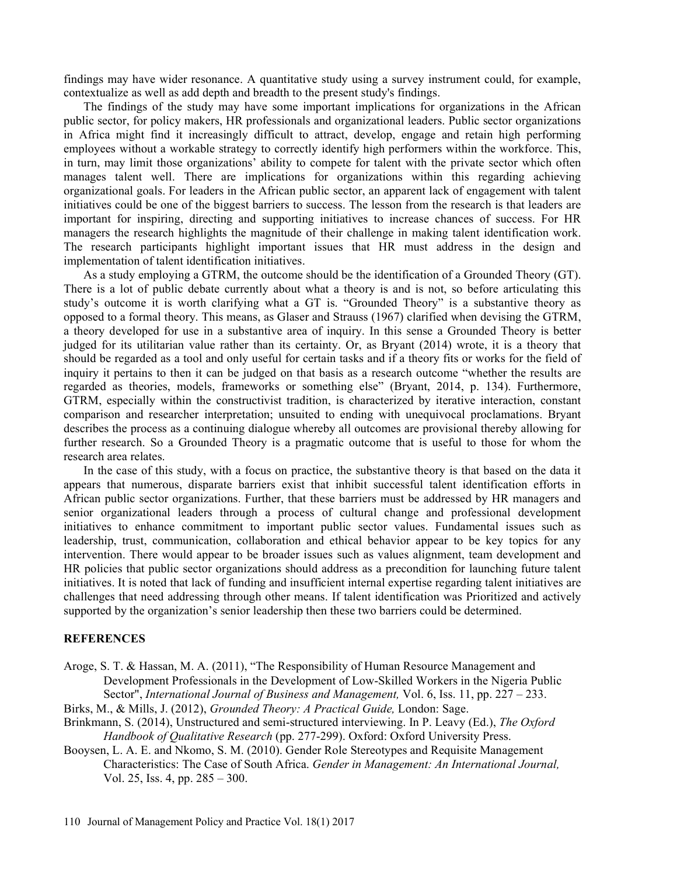findings may have wider resonance. A quantitative study using a survey instrument could, for example, contextualize as well as add depth and breadth to the present study's findings.

The findings of the study may have some important implications for organizations in the African public sector, for policy makers, HR professionals and organizational leaders. Public sector organizations in Africa might find it increasingly difficult to attract, develop, engage and retain high performing employees without a workable strategy to correctly identify high performers within the workforce. This, in turn, may limit those organizations' ability to compete for talent with the private sector which often manages talent well. There are implications for organizations within this regarding achieving organizational goals. For leaders in the African public sector, an apparent lack of engagement with talent initiatives could be one of the biggest barriers to success. The lesson from the research is that leaders are important for inspiring, directing and supporting initiatives to increase chances of success. For HR managers the research highlights the magnitude of their challenge in making talent identification work. The research participants highlight important issues that HR must address in the design and implementation of talent identification initiatives.

As a study employing a GTRM, the outcome should be the identification of a Grounded Theory (GT). There is a lot of public debate currently about what a theory is and is not, so before articulating this study's outcome it is worth clarifying what a GT is. "Grounded Theory" is a substantive theory as opposed to a formal theory. This means, as Glaser and Strauss (1967) clarified when devising the GTRM, a theory developed for use in a substantive area of inquiry. In this sense a Grounded Theory is better judged for its utilitarian value rather than its certainty. Or, as Bryant (2014) wrote, it is a theory that should be regarded as a tool and only useful for certain tasks and if a theory fits or works for the field of inquiry it pertains to then it can be judged on that basis as a research outcome "whether the results are regarded as theories, models, frameworks or something else" (Bryant, 2014, p. 134). Furthermore, GTRM, especially within the constructivist tradition, is characterized by iterative interaction, constant comparison and researcher interpretation; unsuited to ending with unequivocal proclamations. Bryant describes the process as a continuing dialogue whereby all outcomes are provisional thereby allowing for further research. So a Grounded Theory is a pragmatic outcome that is useful to those for whom the research area relates.

In the case of this study, with a focus on practice, the substantive theory is that based on the data it appears that numerous, disparate barriers exist that inhibit successful talent identification efforts in African public sector organizations. Further, that these barriers must be addressed by HR managers and senior organizational leaders through a process of cultural change and professional development initiatives to enhance commitment to important public sector values. Fundamental issues such as leadership, trust, communication, collaboration and ethical behavior appear to be key topics for any intervention. There would appear to be broader issues such as values alignment, team development and HR policies that public sector organizations should address as a precondition for launching future talent initiatives. It is noted that lack of funding and insufficient internal expertise regarding talent initiatives are challenges that need addressing through other means. If talent identification was Prioritized and actively supported by the organization's senior leadership then these two barriers could be determined.

#### **REFERENCES**

- Aroge, S. T. & Hassan, M. A. (2011), "The Responsibility of Human Resource Management and Development Professionals in the Development of Low-Skilled Workers in the Nigeria Public Sector", International Journal of Business and Management, Vol. 6, Iss. 11, pp.  $227 - 233$ .
- Birks, M., & Mills, J. (2012), Grounded Theory: A Practical Guide, London: Sage.
- Brinkmann, S. (2014), Unstructured and semi-structured interviewing. In P. Leavy (Ed.), The Oxford Handbook of Qualitative Research (pp. 277-299). Oxford: Oxford University Press.
- Booysen, L. A. E. and Nkomo, S. M. (2010). Gender Role Stereotypes and Requisite Management Characteristics: The Case of South Africa. Gender in Management: An International Journal, Vol. 25, Iss. 4, pp.  $285 - 300$ .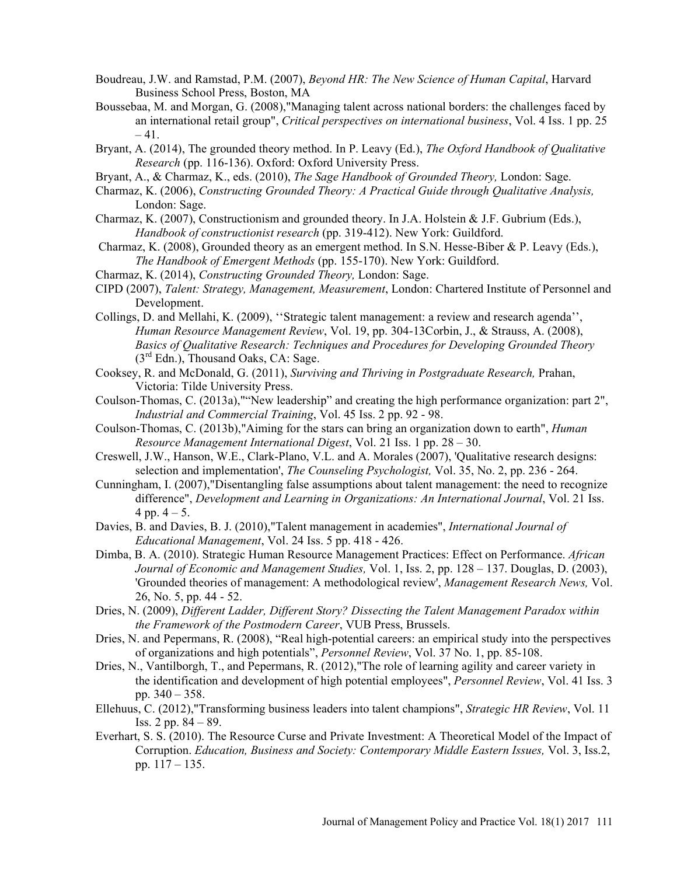- Boudreau, J.W. and Ramstad, P.M. (2007), Beyond HR: The New Science of Human Capital, Harvard Business School Press, Boston, MA
- Boussebaa, M. and Morgan, G. (2008),"Managing talent across national borders: the challenges faced by an international retail group", Critical perspectives on international business, Vol. 4 Iss. 1 pp. 25  $-41.$
- Bryant, A. (2014), The grounded theory method. In P. Leavy (Ed.), The Oxford Handbook of Qualitative Research (pp. 116-136). Oxford: Oxford University Press.
- Bryant, A., & Charmaz, K., eds. (2010), The Sage Handbook of Grounded Theory, London: Sage.
- Charmaz, K. (2006), Constructing Grounded Theory: A Practical Guide through Qualitative Analysis, London: Sage.
- Charmaz, K. (2007), Constructionism and grounded theory. In J.A. Holstein & J.F. Gubrium (Eds.), Handbook of constructionist research (pp. 319-412). New York: Guildford.
- Charmaz, K. (2008), Grounded theory as an emergent method. In S.N. Hesse-Biber & P. Leavy (Eds.), The Handbook of Emergent Methods (pp. 155-170). New York: Guildford.
- Charmaz, K. (2014), Constructing Grounded Theory, London: Sage.
- CIPD (2007), Talent: Strategy, Management, Measurement, London: Chartered Institute of Personnel and Development.
- Collings, D. and Mellahi, K. (2009), "Strategic talent management: a review and research agenda", Human Resource Management Review, Vol. 19, pp. 304-13Corbin, J., & Strauss, A. (2008), Basics of Qualitative Research: Techniques and Procedures for Developing Grounded Theory  $(3<sup>rd</sup> Edn.)$ , Thousand Oaks, CA: Sage.
- Cooksey, R. and McDonald, G. (2011), Surviving and Thriving in Postgraduate Research, Prahan, Victoria: Tilde University Press.
- Coulson-Thomas, C. (2013a),""New leadership" and creating the high performance organization: part 2", Industrial and Commercial Training, Vol. 45 Iss. 2 pp. 92 - 98.
- Coulson-Thomas, C. (2013b),"Aiming for the stars can bring an organization down to earth", Human Resource Management International Digest, Vol. 21 Iss. 1 pp.  $28 - 30$ .
- Creswell, J.W., Hanson, W.E., Clark-Plano, V.L. and A. Morales (2007), 'Qualitative research designs: selection and implementation', The Counseling Psychologist, Vol. 35, No. 2, pp. 236 - 264.
- Cunningham, I. (2007),"Disentangling false assumptions about talent management: the need to recognize difference", Development and Learning in Organizations: An International Journal, Vol. 21 Iss. 4 pp.  $4 - 5$ .
- Davies, B. and Davies, B. J. (2010), "Talent management in academies", *International Journal of* Educational Management, Vol. 24 Iss. 5 pp. 418 - 426.
- Dimba, B. A. (2010). Strategic Human Resource Management Practices: Effect on Performance. African Journal of Economic and Management Studies, Vol. 1, Iss. 2, pp. 128 – 137. Douglas, D. (2003), 'Grounded theories of management: A methodological review', Management Research News, Vol. 26, No. 5, pp. 44 - 52.
- Dries, N. (2009), Different Ladder, Different Story? Dissecting the Talent Management Paradox within the Framework of the Postmodern Career, VUB Press, Brussels.
- Dries, N. and Pepermans, R. (2008), "Real high-potential careers: an empirical study into the perspectives of organizations and high potentials", Personnel Review, Vol. 37 No. 1, pp. 85-108.
- Dries, N., Vantilborgh, T., and Pepermans, R. (2012),"The role of learning agility and career variety in the identification and development of high potential employees", Personnel Review, Vol. 41 Iss. 3 pp.  $340 - 358$ .
- Ellehuus, C. (2012),"Transforming business leaders into talent champions", Strategic HR Review, Vol. 11 Iss. 2 pp.  $84 - 89$ .
- Everhart, S. S. (2010). The Resource Curse and Private Investment: A Theoretical Model of the Impact of Corruption. Education, Business and Society: Contemporary Middle Eastern Issues, Vol. 3, Iss.2, pp.  $117 - 135$ .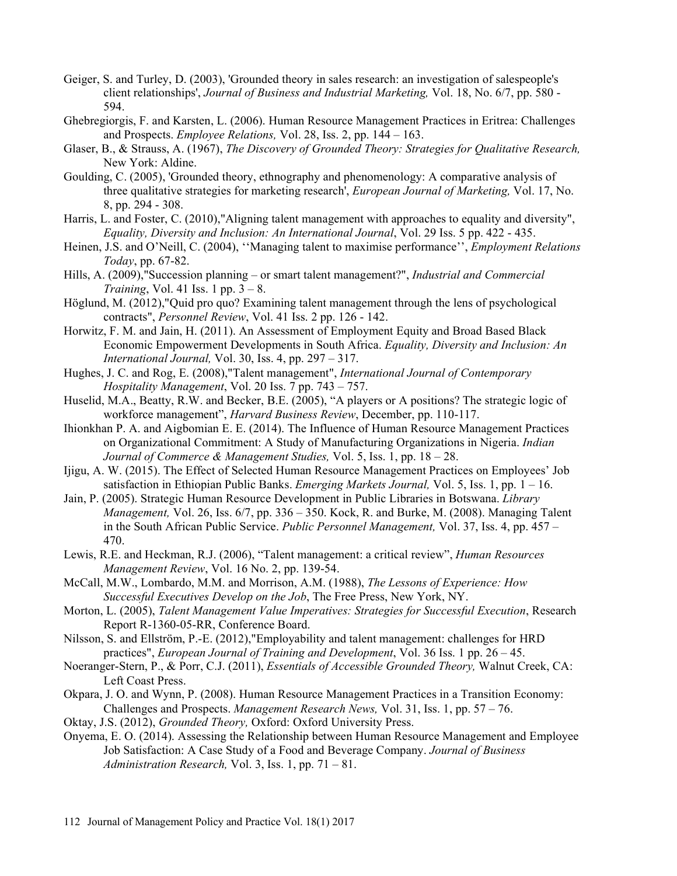- Geiger, S. and Turley, D. (2003), 'Grounded theory in sales research: an investigation of salespeople's client relationships', Journal of Business and Industrial Marketing, Vol. 18, No. 6/7, pp. 580 - 594.
- Ghebregiorgis, F. and Karsten, L. (2006). Human Resource Management Practices in Eritrea: Challenges and Prospects. *Employee Relations*, Vol. 28, Iss. 2, pp.  $144 - 163$ .
- Glaser, B., & Strauss, A. (1967), The Discovery of Grounded Theory: Strategies for Qualitative Research, New York: Aldine.
- Goulding, C. (2005), 'Grounded theory, ethnography and phenomenology: A comparative analysis of three qualitative strategies for marketing research', European Journal of Marketing, Vol. 17, No. 8, pp. 294 - 308.
- Harris, L. and Foster, C. (2010),"Aligning talent management with approaches to equality and diversity", Equality, Diversity and Inclusion: An International Journal, Vol. 29 Iss. 5 pp. 422 - 435.
- Heinen, J.S. and O'Neill, C. (2004), "Managing talent to maximise performance", Employment Relations Today, pp. 67-82.
- Hills, A. (2009), "Succession planning or smart talent management?", Industrial and Commercial Training, Vol. 41 Iss. 1 pp.  $3 - 8$ .
- Höglund, M. (2012),"Quid pro quo? Examining talent management through the lens of psychological contracts", Personnel Review, Vol. 41 Iss. 2 pp. 126 - 142.
- Horwitz, F. M. and Jain, H. (2011). An Assessment of Employment Equity and Broad Based Black Economic Empowerment Developments in South Africa. Equality, Diversity and Inclusion: An International Journal, Vol. 30, Iss. 4, pp.  $297 - 317$ .
- Hughes, J. C. and Rog, E. (2008),"Talent management", International Journal of Contemporary Hospitality Management, Vol. 20 Iss. 7 pp.  $743 - 757$ .
- Huselid, M.A., Beatty, R.W. and Becker, B.E. (2005), "A players or A positions? The strategic logic of workforce management", Harvard Business Review, December, pp. 110-117.
- Ihionkhan P. A. and Aigbomian E. E. (2014). The Influence of Human Resource Management Practices on Organizational Commitment: A Study of Manufacturing Organizations in Nigeria. Indian Journal of Commerce & Management Studies, Vol. 5, Iss. 1, pp. 18 - 28.
- Ijigu, A. W. (2015). The Effect of Selected Human Resource Management Practices on Employees Job satisfaction in Ethiopian Public Banks. *Emerging Markets Journal*, Vol. 5, Iss. 1, pp.  $1 - 16$ .
- Jain, P. (2005). Strategic Human Resource Development in Public Libraries in Botswana. Library *Management, Vol. 26, Iss. 6/7, pp. 336 – 350. Kock, R. and Burke, M. (2008). Managing Talent* in the South African Public Service. Public Personnel Management, Vol. 37, Iss. 4, pp. 457 -470.
- Lewis, R.E. and Heckman, R.J. (2006), "Talent management: a critical review", *Human Resources* Management Review, Vol. 16 No. 2, pp. 139-54.
- McCall, M.W., Lombardo, M.M. and Morrison, A.M. (1988), The Lessons of Experience: How Successful Executives Develop on the Job, The Free Press, New York, NY.
- Morton, L. (2005), Talent Management Value Imperatives: Strategies for Successful Execution, Research Report R-1360-05-RR, Conference Board.
- Nilsson, S. and Ellström, P.-E. (2012),"Employability and talent management: challenges for HRD practices", *European Journal of Training and Development*, Vol. 36 Iss. 1 pp. 26 – 45.
- Noeranger-Stern, P., & Porr, C.J. (2011), Essentials of Accessible Grounded Theory, Walnut Creek, CA: Left Coast Press.
- Okpara, J. O. and Wynn, P. (2008). Human Resource Management Practices in a Transition Economy: Challenges and Prospects. *Management Research News*, Vol. 31, Iss. 1, pp.  $57 - 76$ .
- Oktay, J.S. (2012), Grounded Theory, Oxford: Oxford University Press.
- Onyema, E. O. (2014). Assessing the Relationship between Human Resource Management and Employee Job Satisfaction: A Case Study of a Food and Beverage Company. Journal of Business Administration Research, Vol. 3, Iss. 1, pp.  $71 - 81$ .